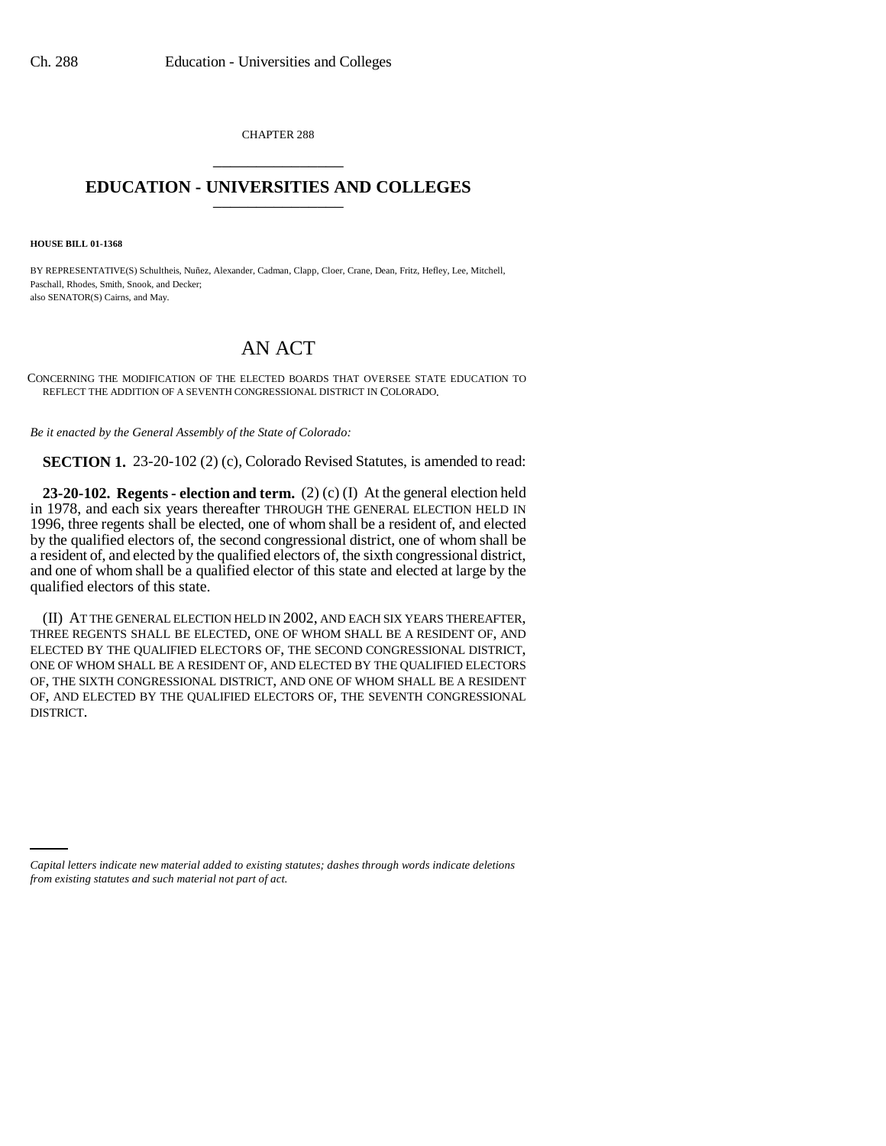CHAPTER 288 \_\_\_\_\_\_\_\_\_\_\_\_\_\_\_

## **EDUCATION - UNIVERSITIES AND COLLEGES** \_\_\_\_\_\_\_\_\_\_\_\_\_\_\_

**HOUSE BILL 01-1368**

BY REPRESENTATIVE(S) Schultheis, Nuñez, Alexander, Cadman, Clapp, Cloer, Crane, Dean, Fritz, Hefley, Lee, Mitchell, Paschall, Rhodes, Smith, Snook, and Decker; also SENATOR(S) Cairns, and May.

## AN ACT

CONCERNING THE MODIFICATION OF THE ELECTED BOARDS THAT OVERSEE STATE EDUCATION TO REFLECT THE ADDITION OF A SEVENTH CONGRESSIONAL DISTRICT IN COLORADO.

*Be it enacted by the General Assembly of the State of Colorado:*

**SECTION 1.** 23-20-102 (2) (c), Colorado Revised Statutes, is amended to read:

**23-20-102. Regents - election and term.** (2) (c) (I) At the general election held in 1978, and each six years thereafter THROUGH THE GENERAL ELECTION HELD IN 1996, three regents shall be elected, one of whom shall be a resident of, and elected by the qualified electors of, the second congressional district, one of whom shall be a resident of, and elected by the qualified electors of, the sixth congressional district, and one of whom shall be a qualified elector of this state and elected at large by the qualified electors of this state.

(II) AT THE GENERAL ELECTION HELD IN 2002, AND EACH SIX YEARS THEREAFTER, THREE REGENTS SHALL BE ELECTED, ONE OF WHOM SHALL BE A RESIDENT OF, AND ELECTED BY THE QUALIFIED ELECTORS OF, THE SECOND CONGRESSIONAL DISTRICT, ONE OF WHOM SHALL BE A RESIDENT OF, AND ELECTED BY THE QUALIFIED ELECTORS OF, THE SIXTH CONGRESSIONAL DISTRICT, AND ONE OF WHOM SHALL BE A RESIDENT OF, AND ELECTED BY THE QUALIFIED ELECTORS OF, THE SEVENTH CONGRESSIONAL DISTRICT.

*Capital letters indicate new material added to existing statutes; dashes through words indicate deletions from existing statutes and such material not part of act.*